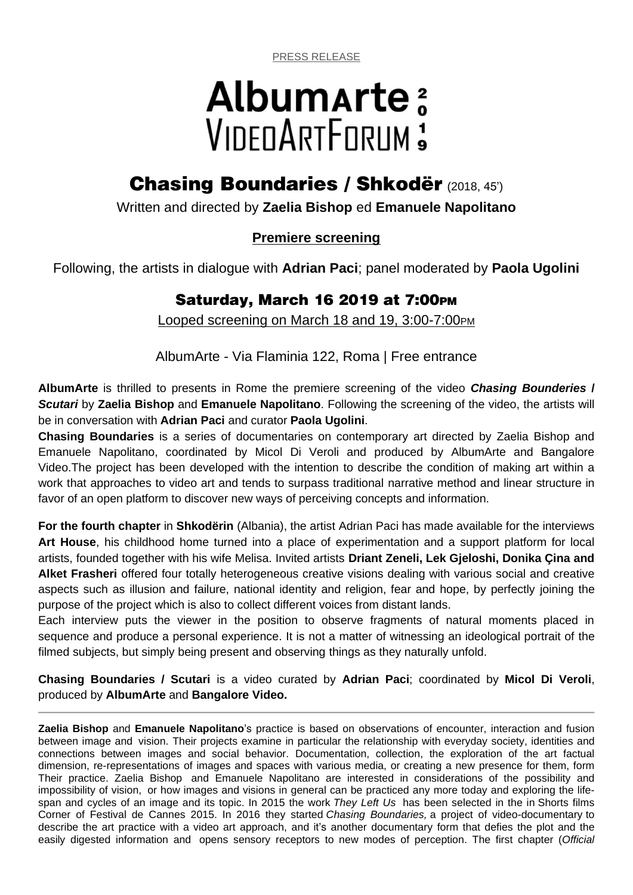PRESS RELEASE

# Albumarte: VIDEDARTEDRUM:

## **Chasing Boundaries / Shkodër** (2018, 45')

Written and directed by **Zaelia Bishop** ed **Emanuele Napolitano**

## **Premiere screening**

Following, the artists in dialogue with **Adrian Paci**; panel moderated by **Paola Ugolini**

## **Saturday, March 16 2019 at 7:00PM**

Looped screening on March 18 and 19, 3:00-7:00PM

AlbumArte - Via Flaminia 122, Roma | Free entrance

**AlbumArte** is thrilled to presents in Rome the premiere screening of the video *Chasing Bounderies* **/**  *Scutari* by **Zaelia Bishop** and **Emanuele Napolitano**. Following the screening of the video, the artists will be in conversation with **Adrian Paci** and curator **Paola Ugolini**.

**Chasing Boundaries** is a series of documentaries on contemporary art directed by Zaelia Bishop and Emanuele Napolitano, coordinated by Micol Di Veroli and produced by AlbumArte and Bangalore Video.The project has been developed with the intention to describe the condition of making art within a work that approaches to video art and tends to surpass traditional narrative method and linear structure in favor of an open platform to discover new ways of perceiving concepts and information.

**For the fourth chapter** in **Shkodërin** (Albania), the artist Adrian Paci has made available for the interviews **Art House**, his childhood home turned into a place of experimentation and a support platform for local artists, founded together with his wife Melisa. Invited artists **Driant Zeneli, Lek Gjeloshi, Donika Çina and Alket Frasheri** offered four totally heterogeneous creative visions dealing with various social and creative aspects such as illusion and failure, national identity and religion, fear and hope, by perfectly joining the purpose of the project which is also to collect different voices from distant lands.

Each interview puts the viewer in the position to observe fragments of natural moments placed in sequence and produce a personal experience. It is not a matter of witnessing an ideological portrait of the filmed subjects, but simply being present and observing things as they naturally unfold.

**Chasing Boundaries / Scutari** is a video curated by **Adrian Paci**; coordinated by **Micol Di Veroli**, produced by **AlbumArte** and **Bangalore Video.**

**Zaelia Bishop** and **Emanuele Napolitano**'s practice is based on observations of encounter, interaction and fusion between image and vision. Their projects examine in particular the relationship with everyday society, identities and connections between images and social behavior. Documentation, collection, the exploration of the art factual dimension, re-representations of images and spaces with various media, or creating a new presence for them, form Their practice. Zaelia Bishop and Emanuele Napolitano are interested in considerations of the possibility and impossibility of vision, or how images and visions in general can be practiced any more today and exploring the lifespan and cycles of an image and its topic. In 2015 the work *They Left Us* has been selected in the in Shorts films Corner of Festival de Cannes 2015. In 2016 they started *Chasing Boundaries,* a project of video-documentary to describe the art practice with a video art approach, and it's another documentary form that defies the plot and the easily digested information and opens sensory receptors to new modes of perception. The first chapter (*Official*